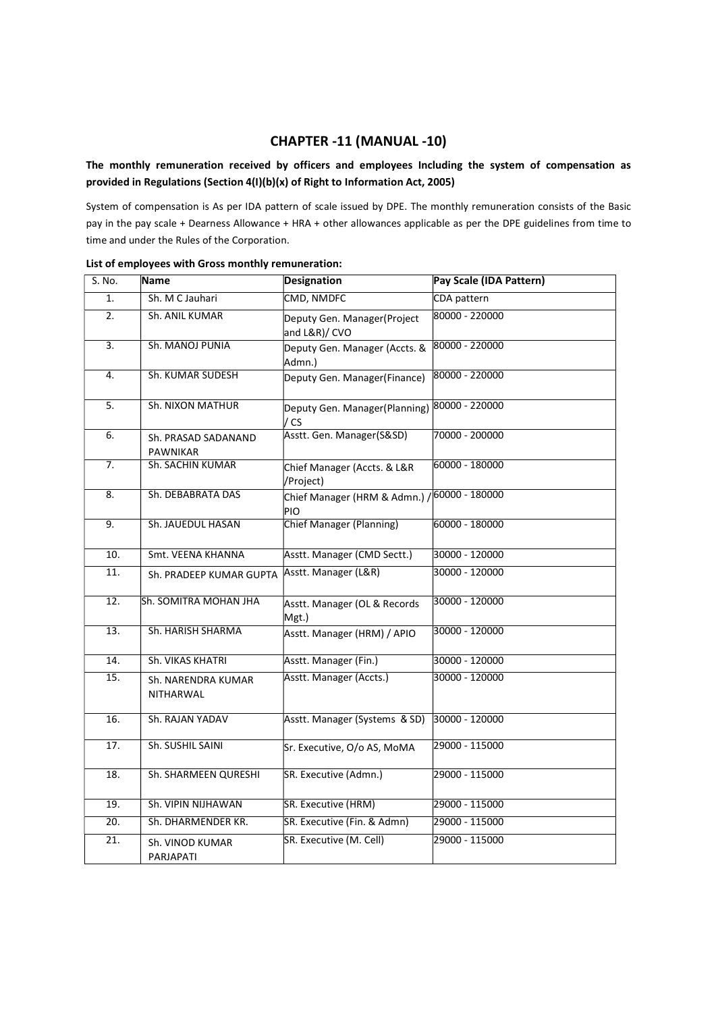## CHAPTER -11 (MANUAL -10)

## The monthly remuneration received by officers and employees Including the system of compensation as provided in Regulations (Section 4(I)(b)(x) of Right to Information Act, 2005)

System of compensation is As per IDA pattern of scale issued by DPE. The monthly remuneration consists of the Basic pay in the pay scale + Dearness Allowance + HRA + other allowances applicable as per the DPE guidelines from time to time and under the Rules of the Corporation.

| S. No. | Name                                   | <b>Designation</b>                                   | Pay Scale (IDA Pattern) |
|--------|----------------------------------------|------------------------------------------------------|-------------------------|
| 1.     | Sh. M C Jauhari                        | CMD, NMDFC                                           | CDA pattern             |
| 2.     | Sh. ANIL KUMAR                         | Deputy Gen. Manager(Project<br>and L&R)/ CVO         | 80000 - 220000          |
| 3.     | Sh. MANOJ PUNIA                        | Deputy Gen. Manager (Accts. &<br>Admn.)              | 80000 - 220000          |
| 4.     | Sh. KUMAR SUDESH                       | Deputy Gen. Manager(Finance)                         | 80000 - 220000          |
| 5.     | Sh. NIXON MATHUR                       | Deputy Gen. Manager(Planning) 80000 - 220000<br>/ CS |                         |
| 6.     | Sh. PRASAD SADANAND<br><b>PAWNIKAR</b> | Asstt. Gen. Manager(S&SD)                            | 70000 - 200000          |
| 7.     | <b>Sh. SACHIN KUMAR</b>                | Chief Manager (Accts. & L&R<br>/Project)             | 60000 - 180000          |
| 8.     | Sh. DEBABRATA DAS                      | Chief Manager (HRM & Admn.)<br>PIO                   | 60000 - 180000          |
| 9.     | Sh. JAUEDUL HASAN                      | Chief Manager (Planning)                             | 60000 - 180000          |
| 10.    | Smt. VEENA KHANNA                      | Asstt. Manager (CMD Sectt.)                          | 30000 - 120000          |
| 11.    | Sh. PRADEEP KUMAR GUPTA                | Asstt. Manager (L&R)                                 | 30000 - 120000          |
| 12.    | Sh. SOMITRA MOHAN JHA                  | Asstt. Manager (OL & Records<br>Mgt.)                | 30000 - 120000          |
| 13.    | Sh. HARISH SHARMA                      | Asstt. Manager (HRM) / APIO                          | 30000 - 120000          |
| 14.    | Sh. VIKAS KHATRI                       | Asstt. Manager (Fin.)                                | 30000 - 120000          |
| 15.    | Sh. NARENDRA KUMAR<br><b>NITHARWAL</b> | Asstt. Manager (Accts.)                              | 30000 - 120000          |
| 16.    | Sh. RAJAN YADAV                        | Asstt. Manager (Systems & SD)                        | 30000 - 120000          |
| 17.    | Sh. SUSHIL SAINI                       | Sr. Executive, O/o AS, MoMA                          | 29000 - 115000          |
| 18.    | Sh. SHARMEEN QURESHI                   | SR. Executive (Admn.)                                | 29000 - 115000          |
| 19.    | Sh. VIPIN NIJHAWAN                     | SR. Executive (HRM)                                  | 29000 - 115000          |
| 20.    | Sh. DHARMENDER KR.                     | SR. Executive (Fin. & Admn)                          | 29000 - 115000          |
| 21.    | Sh. VINOD KUMAR<br>PARJAPATI           | SR. Executive (M. Cell)                              | 29000 - 115000          |

List of employees with Gross monthly remuneration: